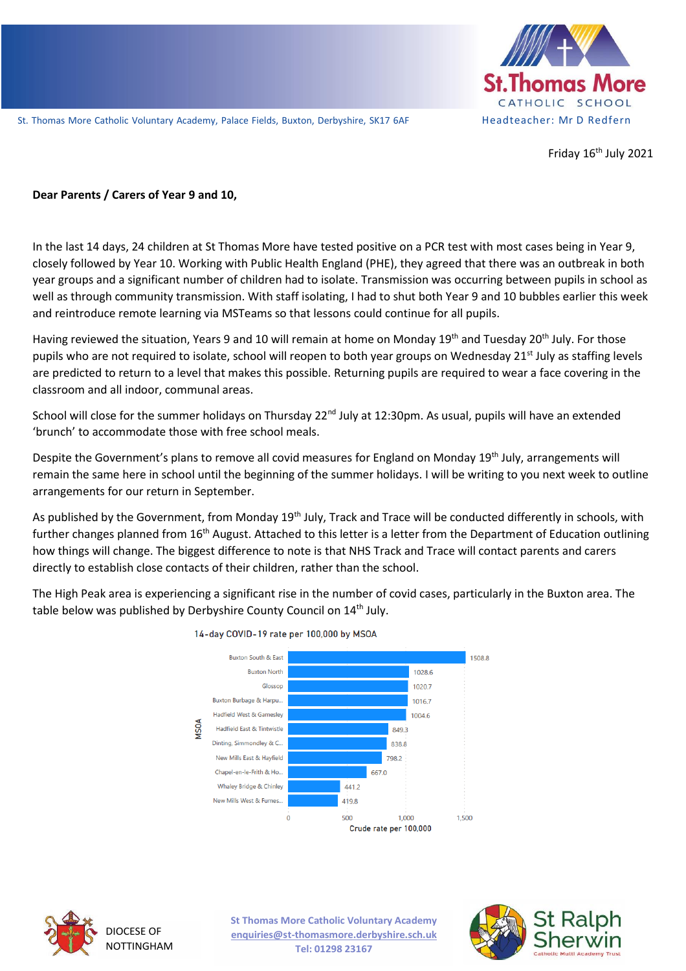

Friday  $16<sup>th</sup>$  July 2021

#### **Dear Parents / Carers of Year 9 and 10,**

In the last 14 days, 24 children at St Thomas More have tested positive on a PCR test with most cases being in Year 9, closely followed by Year 10. Working with Public Health England (PHE), they agreed that there was an outbreak in both year groups and a significant number of children had to isolate. Transmission was occurring between pupils in school as well as through community transmission. With staff isolating, I had to shut both Year 9 and 10 bubbles earlier this week and reintroduce remote learning via MSTeams so that lessons could continue for all pupils.

Having reviewed the situation, Years 9 and 10 will remain at home on Monday 19<sup>th</sup> and Tuesday 20<sup>th</sup> July. For those pupils who are not required to isolate, school will reopen to both year groups on Wednesday 21<sup>st</sup> July as staffing levels are predicted to return to a level that makes this possible. Returning pupils are required to wear a face covering in the classroom and all indoor, communal areas.

School will close for the summer holidays on Thursday 22<sup>nd</sup> July at 12:30pm. As usual, pupils will have an extended 'brunch' to accommodate those with free school meals.

Despite the Government's plans to remove all covid measures for England on Monday 19th July, arrangements will remain the same here in school until the beginning of the summer holidays. I will be writing to you next week to outline arrangements for our return in September.

As published by the Government, from Monday 19<sup>th</sup> July, Track and Trace will be conducted differently in schools, with further changes planned from 16<sup>th</sup> August. Attached to this letter is a letter from the Department of Education outlining how things will change. The biggest difference to note is that NHS Track and Trace will contact parents and carers directly to establish close contacts of their children, rather than the school.

The High Peak area is experiencing a significant rise in the number of covid cases, particularly in the Buxton area. The table below was published by Derbyshire County Council on 14<sup>th</sup> July.



14-day COVID-19 rate per 100,000 by MSOA



DIOCESE OF NOTTINGHAM **St Thomas More Catholic Voluntary Academy enquiries@st-thomasmore.derbyshire.sch.uk Tel: 01298 23167**

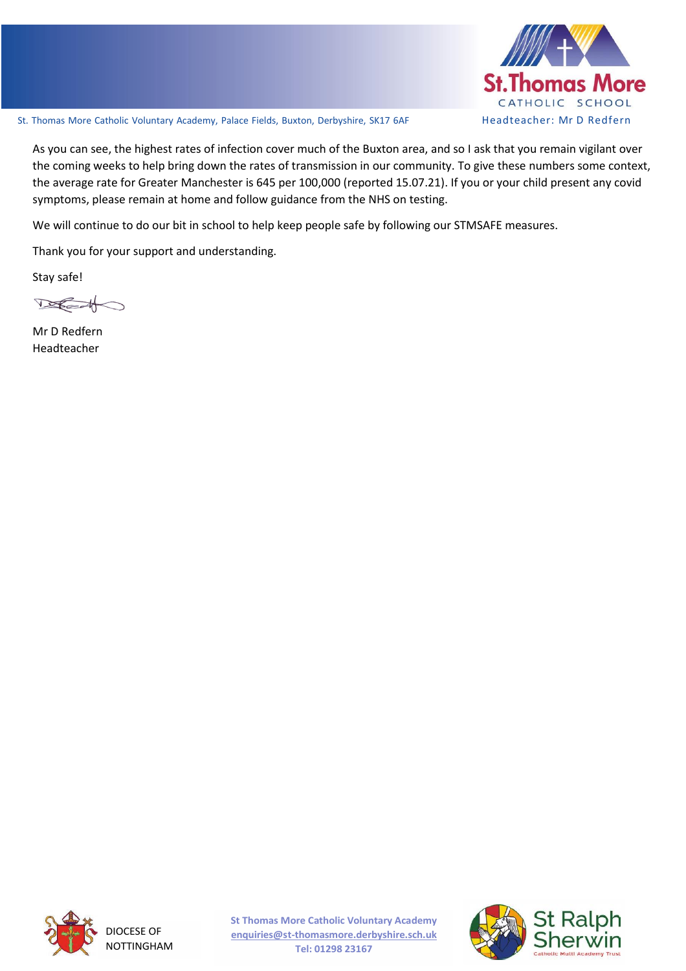

As you can see, the highest rates of infection cover much of the Buxton area, and so I ask that you remain vigilant over the coming weeks to help bring down the rates of transmission in our community. To give these numbers some context, the average rate for Greater Manchester is 645 per 100,000 (reported 15.07.21). If you or your child present any covid symptoms, please remain at home and follow guidance from the NHS on testing.

We will continue to do our bit in school to help keep people safe by following our STMSAFE measures.

Thank you for your support and understanding.

Stay safe!

 $\n *Keat*\n$ 

Mr D Redfern Headteacher



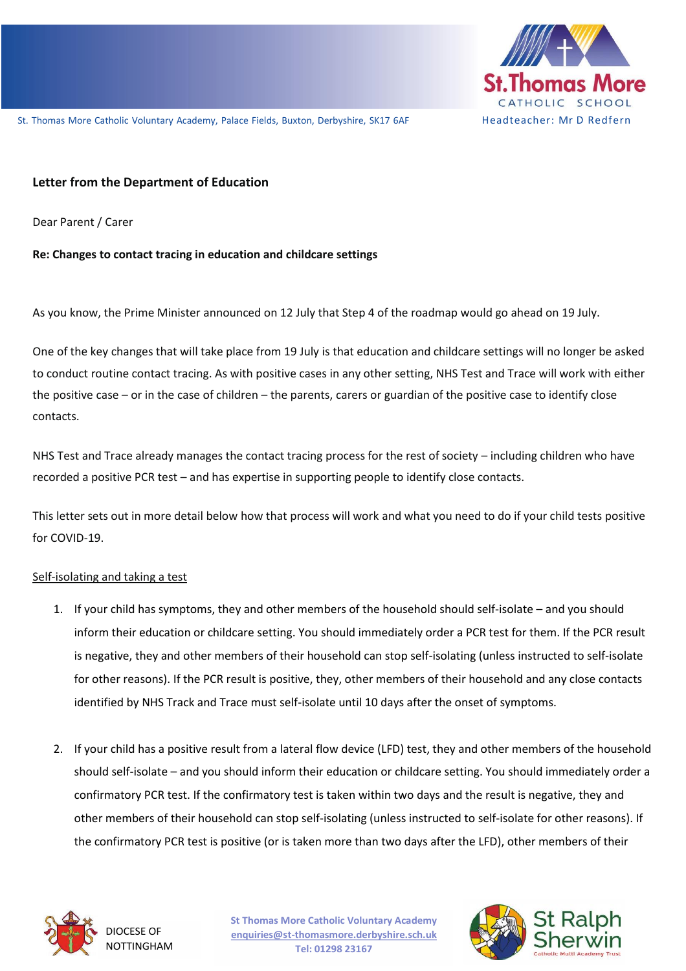

## **Letter from the Department of Education**

St. The Catholic Vol un tary Acad em y, Palace Fields, Buxton, Derb yshir e, SK17 6AF H ea ch er in D Red f er Dear Parent / Carer

#### **Re: Changes to contact tracing in education and childcare settings**

As you know, the Prime Minister announced on 12 July that Step 4 of the roadmap would go ahead on 19 July.

One of the key changes that will take place from 19 July is that education and childcare settings will no longer be asked to conduct routine contact tracing. As with positive cases in any other setting, NHS Test and Trace will work with either the positive case – or in the case of children – the parents, carers or guardian of the positive case to identify close contacts.

NHS Test and Trace already manages the contact tracing process for the rest of society – including children who have recorded a positive PCR test – and has expertise in supporting people to identify close contacts.

This letter sets out in more detail below how that process will work and what you need to do if your child tests positive for COVID-19.

#### Self-isolating and taking a test

- 1. If your child has symptoms, they and other members of the household should self-isolate and you should inform their education or childcare setting. You should immediately order a PCR test for them. If the PCR result is negative, they and other members of their household can stop self-isolating (unless instructed to self-isolate for other reasons). If the PCR result is positive, they, other members of their household and any close contacts identified by NHS Track and Trace must self-isolate until 10 days after the onset of symptoms.
- 2. If your child has a positive result from a lateral flow device (LFD) test, they and other members of the household should self-isolate – and you should inform their education or childcare setting. You should immediately order a confirmatory PCR test. If the confirmatory test is taken within two days and the result is negative, they and other members of their household can stop self-isolating (unless instructed to self-isolate for other reasons). If the confirmatory PCR test is positive (or is taken more than two days after the LFD), other members of their



DIOCESE OF NOTTINGHAM **St Thomas More Catholic Voluntary Academy enquiries@st-thomasmore.derbyshire.sch.uk Tel: 01298 23167**

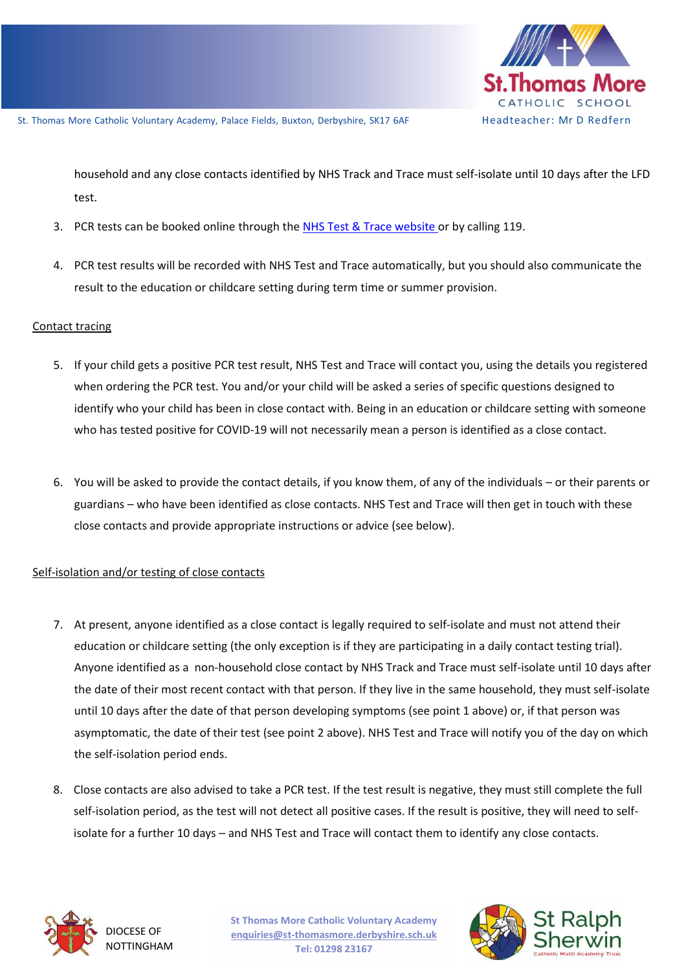

household and any close contacts identified by NHS Track and Trace must self-isolate until 10 days after the LFD test.

- 3. PCR tests can be booked online through th[e NHS Test & Trace website](https://www.nhs.uk/conditions/coronavirus-covid-19/testing/) or by calling 119.
	- 4. PCR test results will be recorded with NHS Test and Trace automatically, but you should also communicate the result to the education or childcare setting during term time or summer provision.

### Contact tracing

- 5. If your child gets a positive PCR test result, NHS Test and Trace will contact you, using the details you registered when ordering the PCR test. You and/or your child will be asked a series of specific questions designed to identify who your child has been in close contact with. Being in an education or childcare setting with someone who has tested positive for COVID-19 will not necessarily mean a person is identified as a close contact.
- 6. You will be asked to provide the contact details, if you know them, of any of the individuals or their parents or guardians – who have been identified as close contacts. NHS Test and Trace will then get in touch with these close contacts and provide appropriate instructions or advice (see below).

# Self-isolation and/or testing of close contacts

- 7. At present, anyone identified as a close contact is legally required to self-isolate and must not attend their education or childcare setting (the only exception is if they are participating in a daily contact testing trial). Anyone identified as a non-household close contact by NHS Track and Trace must self-isolate until 10 days after the date of their most recent contact with that person. If they live in the same household, they must self-isolate until 10 days after the date of that person developing symptoms (see point 1 above) or, if that person was asymptomatic, the date of their test (see point 2 above). NHS Test and Trace will notify you of the day on which the self-isolation period ends.
- 8. Close contacts are also advised to take a PCR test. If the test result is negative, they must still complete the full self-isolation period, as the test will not detect all positive cases. If the result is positive, they will need to selfisolate for a further 10 days – and NHS Test and Trace will contact them to identify any close contacts.